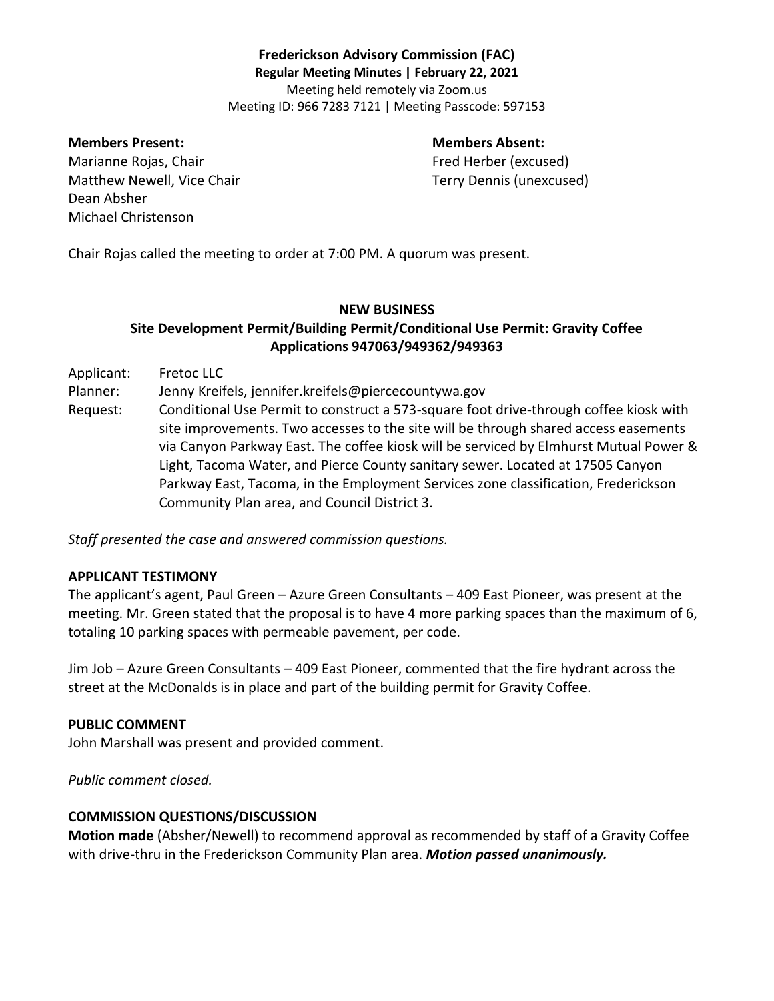# **Frederickson Advisory Commission (FAC) Regular Meeting Minutes | February 22, 2021** Meeting held remotely via Zoom.us Meeting ID: 966 7283 7121 | Meeting Passcode: 597153

#### **Members Present: Members Absent:**

Marianne Rojas, Chair Fred Herber (excused) Matthew Newell, Vice Chair Terry Dennis (unexcused) Dean Absher Michael Christenson

Chair Rojas called the meeting to order at 7:00 PM. A quorum was present.

# **NEW BUSINESS Site Development Permit/Building Permit/Conditional Use Permit: Gravity Coffee Applications 947063/949362/949363**

Applicant: Fretoc LLC

Planner: Jenny Kreifels, jennifer.kreifels@piercecountywa.gov

Request: Conditional Use Permit to construct a 573-square foot drive-through coffee kiosk with site improvements. Two accesses to the site will be through shared access easements via Canyon Parkway East. The coffee kiosk will be serviced by Elmhurst Mutual Power & Light, Tacoma Water, and Pierce County sanitary sewer. Located at 17505 Canyon Parkway East, Tacoma, in the Employment Services zone classification, Frederickson Community Plan area, and Council District 3.

*Staff presented the case and answered commission questions.* 

### **APPLICANT TESTIMONY**

The applicant's agent, Paul Green – Azure Green Consultants – 409 East Pioneer, was present at the meeting. Mr. Green stated that the proposal is to have 4 more parking spaces than the maximum of 6, totaling 10 parking spaces with permeable pavement, per code.

Jim Job – Azure Green Consultants – 409 East Pioneer, commented that the fire hydrant across the street at the McDonalds is in place and part of the building permit for Gravity Coffee.

### **PUBLIC COMMENT**

John Marshall was present and provided comment.

*Public comment closed.*

### **COMMISSION QUESTIONS/DISCUSSION**

**Motion made** (Absher/Newell) to recommend approval as recommended by staff of a Gravity Coffee with drive-thru in the Frederickson Community Plan area. *Motion passed unanimously.*